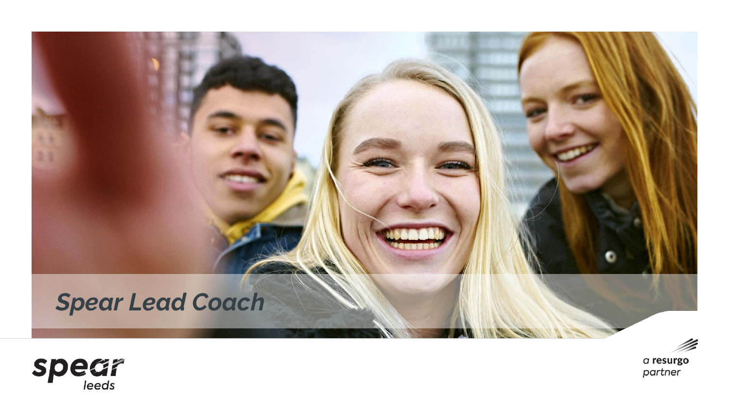

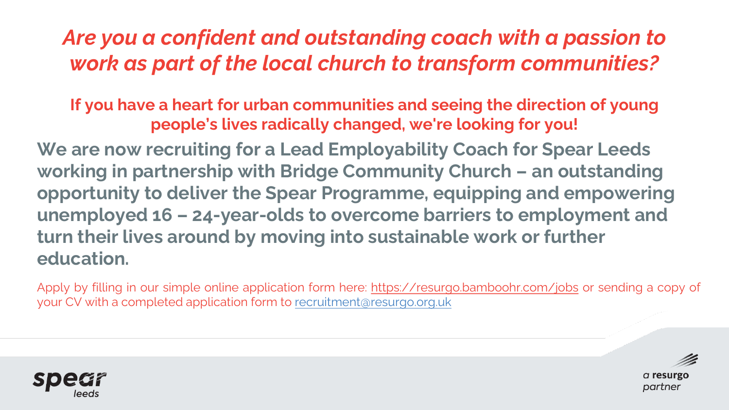# *Are you a confident and outstanding coach with a passion to work as part of the local church to transform communities?*

**If you have a heart for urban communities and seeing the direction of young people's lives radically changed, we're looking for you!**

**We are now recruiting for a Lead Employability Coach for Spear Leeds working in partnership with Bridge Community Church – an outstanding opportunity to deliver the Spear Programme, equipping and empowering unemployed 16 – 24-year-olds to overcome barriers to employment and turn their lives around by moving into sustainable work or further education.**

Apply by filling in our simple online application form here: <https://resurgo.bamboohr.com/jobs> or sending a copy of your CV with a completed application form to [recruitment@resurgo.org.uk](mailto:recruitment@resurgo.org.uk)

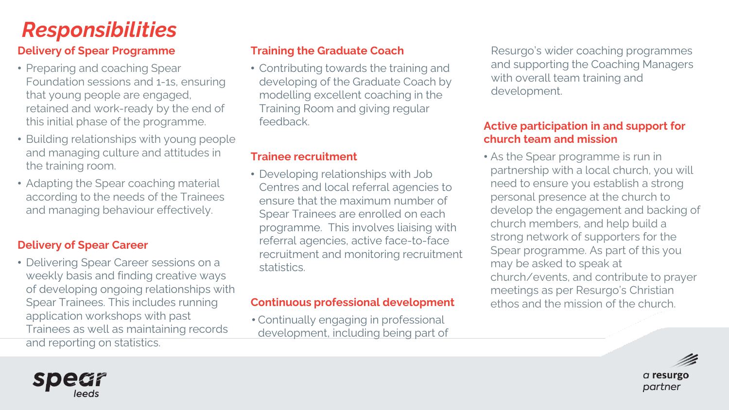# *Responsibilities*

### **Delivery of Spear Programme**

- Preparing and coaching Spear Foundation sessions and 1-1s, ensuring that young people are engaged, retained and work-ready by the end of this initial phase of the programme.
- Building relationships with young people and managing culture and attitudes in the training room.
- Adapting the Spear coaching material according to the needs of the Trainees and managing behaviour effectively.

### **Delivery of Spear Career**

• Delivering Spear Career sessions on a weekly basis and finding creative ways of developing ongoing relationships with Spear Trainees. This includes running application workshops with past Trainees as well as maintaining records and reporting on statistics.

#### **Training the Graduate Coach**

• Contributing towards the training and developing of the Graduate Coach by modelling excellent coaching in the Training Room and giving regular feedback.

#### **Trainee recruitment**

• Developing relationships with Job Centres and local referral agencies to ensure that the maximum number of Spear Trainees are enrolled on each programme. This involves liaising with referral agencies, active face-to-face recruitment and monitoring recruitment statistics.

#### **Continuous professional development**

• Continually engaging in professional development, including being part of Resurgo's wider coaching programmes and supporting the Coaching Managers with overall team training and development.

#### **Active participation in and support for church team and mission**

• As the Spear programme is run in partnership with a local church, you will need to ensure you establish a strong personal presence at the church to develop the engagement and backing of church members, and help build a strong network of supporters for the Spear programme. As part of this you may be asked to speak at church/events, and contribute to prayer meetings as per Resurgo's Christian ethos and the mission of the church.